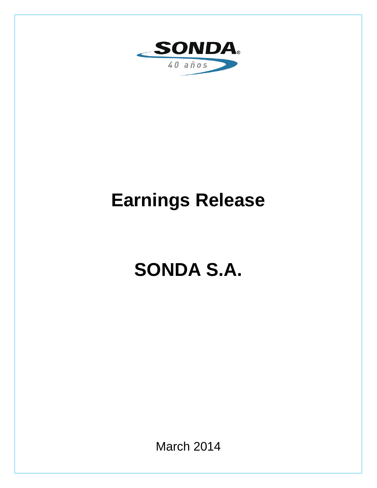

# **Earnings Release**

# **SONDA S.A.**

March 2014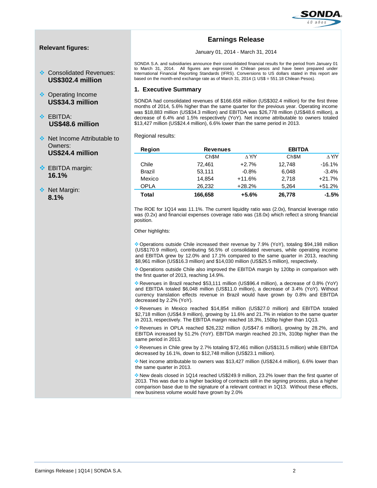

# **Relevant figures:**

- **♦ Consolidated Revenues: US\$302.4 million**
- **❖** Operating Income **US\$34.3 million**
- **S** FRITDA: **US\$48.6 million**
- ◆ Net Income Attributable to Owners: **US\$24.4 million**
- $\div$  EBITDA margin: **16.1%**
- ◆ Net Margin: **8.1%**

# **Earnings Release**

January 01, 2014 - March 31, 2014

SONDA S.A. and subsidiaries announce their consolidated financial results for the period from January 01 to March 31, 2014. All figures are expressed in Chilean pesos and have been prepared under International Financial Reporting Standards (IFRS). Conversions to US dollars stated in this report are based on the month-end exchange rate as of March 31, 2014 (1 US\$ = 551.18 Chilean Pesos).

## **1. Executive Summary**

SONDA had consolidated revenues of \$166.658 million (US\$302.4 million) for the first three months of 2014, 5.6% higher than the same quarter for the previous year. Operating income was \$18,883 million (US\$34.3 million) and EBITDA was \$26,778 million (US\$48.6 million), a decrease of 6.4% and 1.5% respectively (YoY). Net income attributable to owners totaled \$13,427 million (US\$24.4 million), 6.6% lower than the same period in 2013.

Regional results:

| <b>Region</b> | <b>Revenues</b>   |               | <b>EBITDA</b>     |                 |
|---------------|-------------------|---------------|-------------------|-----------------|
|               | Ch <sub>\$M</sub> | $\Lambda$ Y/Y | Ch <sub>\$M</sub> | $\triangle$ Y/Y |
| Chile         | 72.461            | $+2.7%$       | 12,748            | $-16.1%$        |
| <b>Brazil</b> | 53,111            | $-0.8%$       | 6,048             | $-3.4%$         |
| Mexico        | 14.854            | $+11.6%$      | 2.718             | $+21.7%$        |
| <b>OPLA</b>   | 26.232            | $+28.2%$      | 5.264             | $+51.2%$        |
| Total         | 166,658           | $+5.6%$       | 26,778            | $-1.5%$         |

The ROE for 1Q14 was 11.1%. The current liquidity ratio was (2.0x), financial leverage ratio was (0.2x) and financial expenses coverage ratio was (18.0x) which reflect a strong financial position.

Other highlights:

Operations outside Chile increased their revenue by 7.9% (YoY), totaling \$94,198 million (US\$170.9 million), contributing 56.5% of consolidated revenues, while operating income and EBITDA grew by 12.0% and 17.1% compared to the same quarter in 2013, reaching \$8,961 million (US\$16.3 million) and \$14,030 million (US\$25.5 million), respectively.

Operations outside Chile also improved the EBITDA margin by 120bp in comparison with the first quarter of 2013, reaching 14.9%.

Revenues in Brazil reached \$53,111 million (US\$96.4 million), a decrease of 0.8% (YoY) and EBITDA totaled \$6,048 million (US\$11.0 million), a decrease of 3.4% (YoY). Without currency translation effects revenue in Brazil would have grown by 0.8% and EBITDA decreased by 2.2% (YoY).

Revenues in Mexico reached \$14,854 million (US\$27.0 million) and EBITDA totaled \$2,718 million (US\$4.9 million), growing by 11.6% and 21.7% in relation to the same quarter in 2013, respectively. The EBITDA margin reached 18.3%, 150bp higher than 1Q13.

Revenues in OPLA reached \$26,232 million (US\$47.6 million), growing by 28.2%, and EBITDA increased by 51.2% (YoY). EBITDA margin reached 20.1%, 310bp higher than the same period in 2013.

Revenues in Chile grew by 2.7% totaling \$72,461 million (US\$131.5 million) while EBITDA decreased by 16.1%, down to \$12,748 million (US\$23.1 million).

Net income attributable to owners was \$13,427 million (US\$24.4 million), 6.6% lower than the same quarter in 2013.

New deals closed in 1Q14 reached US\$249.9 million, 23.2% lower than the first quarter of 2013. This was due to a higher backlog of contracts still in the signing process, plus a higher comparison base due to the signature of a relevant contract in 1Q13. Without these effects, new business volume would have grown by 2.0%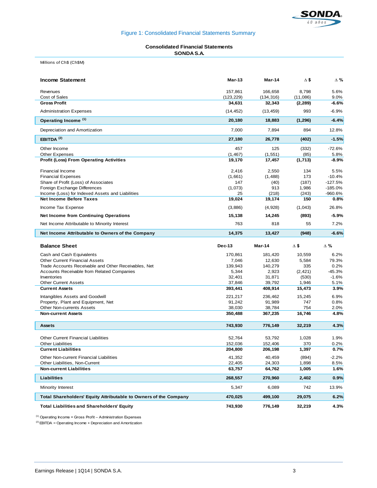

# Figure 1: Consolidated Financial Statements Summary

#### **Consolidated Financial Statements SONDA S.A.**

Millions of Ch\$ (Ch\$M)

| <b>Income Statement</b>                                          | Mar-13            | Mar-14            | $\Delta$ \$     | Δ%           |
|------------------------------------------------------------------|-------------------|-------------------|-----------------|--------------|
| Revenues                                                         | 157,861           | 166,658           | 8,798           | 5.6%         |
| Cost of Sales                                                    | (123, 229)        | (134, 316)        | (11,086)        | 9.0%         |
| <b>Gross Profit</b>                                              | 34,631            | 32,343            | (2, 289)        | -6.6%        |
| <b>Administration Expenses</b>                                   | (14, 452)         | (13, 459)         | 993             | $-6.9%$      |
| Operating Income (1)                                             | 20,180            | 18,883            | (1, 296)        | $-6.4%$      |
| Depreciation and Amortization                                    | 7,000             | 7,894             | 894             | 12.8%        |
| EBITDA <sup>(2)</sup>                                            | 27,180            | 26,778            | (402)           | $-1.5%$      |
| Other Income                                                     | 457               | 125               | (332)           | $-72.6%$     |
| <b>Other Expenses</b>                                            | (1, 467)          | (1, 551)          | (85)            | 5.8%         |
| <b>Profit (Loss) From Operating Activities</b>                   | 19,170            | 17,457            | (1,713)         | $-8.9%$      |
| <b>Financial Income</b>                                          | 2,416             | 2,550             | 134             | 5.5%         |
| <b>Financial Expenses</b>                                        | (1,661)           | (1,488)           | 173             | $-10.4%$     |
| Share of Profit (Loss) of Associates                             | 147               | (40)              | (187)           | $-127.5%$    |
| Foreign Exchange Differences                                     | (1,073)           | 913               | 1,986           | $-185.0%$    |
| Income (Loss) for Indexed Assets and Liabilities                 | 25                | (218)             | (243)           | $-960.6%$    |
| <b>Net Income Before Taxes</b>                                   | 19,024            | 19,174            | 150             | 0.8%         |
| Income Tax Expense                                               | (3,886)           | (4,928)           | (1,043)         | 26.8%        |
| <b>Net Income from Continuing Operations</b>                     | 15,138            | 14,245            | (893)           | $-5.9%$      |
| Net Income Attributable to Minority Interest                     | 763               | 818               | 55              | 7.2%         |
| Net Income Attributable to Owners of the Company                 | 14,375            | 13,427            | (948)           | $-6.6%$      |
|                                                                  |                   |                   |                 |              |
| <b>Balance Sheet</b>                                             | Dec-13            | Mar-14            | $\Delta$ \$     | $\Delta$ %   |
|                                                                  |                   |                   |                 |              |
| Cash and Cash Equivalents                                        | 170,861           | 181,420           | 10,559          | 6.2%         |
| <b>Other Current Financial Assets</b>                            | 7,046             | 12,630            | 5,584           | 79.3%        |
| Trade Accounts Receivable and Other Receivables, Net             | 139,943           | 140,279           | 335             | 0.2%         |
| <b>Accounts Receivable from Related Companies</b>                | 5,344             | 2,923             | (2, 421)        | -45.3%       |
| Inventories                                                      | 32,401            | 31,871            | (530)           | $-1.6%$      |
| <b>Other Current Assets</b><br><b>Current Assets</b>             | 37,846<br>393,441 | 39,792<br>408,914 | 1,946<br>15,473 | 5.1%<br>3.9% |
| Intangibles Assets and Goodwill                                  | 221,217           | 236,462           | 15,245          | 6.9%         |
| Property, Plant and Equipment, Net                               | 91,242            | 91,989            | 747             | 0.8%         |
| <b>Other Non-currents Assets</b>                                 | 38,030            | 38,784            | 754             | 2.0%         |
| <b>Non-current Assets</b>                                        | 350,488           | 367,235           | 16,746          | 4.8%         |
| <b>Assets</b>                                                    | 743,930           | 776,149           | 32,219          | 4.3%         |
|                                                                  |                   |                   |                 |              |
| <b>Other Current Financial Liabilities</b>                       | 52,764            | 53,792            | 1,028           | 1.9%         |
| <b>Other Liabilities</b>                                         | 152,036           | 152.406           | 370             | 0.2%         |
| <b>Current Liabilities</b>                                       | 204,800           | 206,198           | 1,397           | 0.7%         |
| Other Non-current Financial Liabilities                          | 41,352            | 40,459            | (894)           | $-2.2%$      |
| Other Liabilities, Non-Current                                   | 22,405            | 24,303            | 1,898           | 8.5%         |
| <b>Non-current Liabilities</b>                                   | 63,757            | 64,762            | 1,005           | 1.6%         |
| <b>Liabilities</b>                                               | 268,557           | 270,960           | 2,402           | 0.9%         |
| Minority Interest                                                | 5,347             | 6,089             | 742             | 13.9%        |
| Total Shareholders' Equity Attributable to Owners of the Company | 470,025           | 499,100           | 29,075          | 6.2%         |

 $(1)$  Operating Income = Gross Profit – Administration Expenses

 $(2)$  EBITDA = Operating Income + Depreciation and Amortization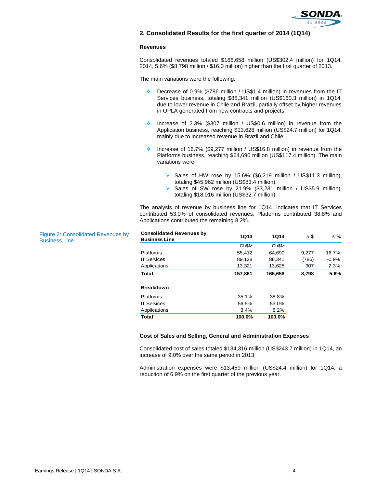

# **2. Consolidated Results for the first quarter of 2014 (1Q14)**

#### **Revenues**

Consolidated revenues totaled \$166,658 million (US\$302.4 million) for 1Q14, 2014, 5.6% (\$8,798 million / \$16.0 million) higher than the first quarter of 2013.

The main variations were the following:

- ◆ Decrease of 0.9% (\$786 million / US\$1.4 million) in revenues from the IT Services business, totaling \$88,341 million (US\$160.3 million) in 1Q14, due to lower revenue in Chile and Brazil, partially offset by higher revenues in OPLA generated from new contracts and projects.
- Increase of 2.3% (\$307 million / US\$0.6 million) in revenue from the Application business, reaching \$13,628 million (US\$24.7 million) for 1Q14, mainly due to increased revenue in Brazil and Chile.
- Increase of 16.7% (\$9,277 million / US\$16.8 million) in revenue from the Platforms business, reaching \$64,690 million (US\$117.4 million). The main variations were:
	- Sales of HW rose by 15.6% (\$6,219 million / US\$11.3 million), totaling \$45,962 million (US\$83.4 million).
	- Sales of SW rose by 21.9% (\$3,231 million / US\$5.9 million), totaling \$18,016 million (US\$32.7 million).

The analysis of revenue by business line for 1Q14, indicates that IT Services contributed 53.0% of consolidated revenues, Platforms contributed 38.8% and Applications contributed the remaining 8.2%.

| <b>Consolidated Revenues by</b><br><b>Business Line</b> | <b>1Q13</b> | <b>1Q14</b> | Δ\$   | $\Delta \%$ |
|---------------------------------------------------------|-------------|-------------|-------|-------------|
|                                                         | Ch\$M       | Ch\$M       |       |             |
| <b>Platforms</b>                                        | 55,412      | 64.690      | 9.277 | 16.7%       |
| <b>IT Services</b>                                      | 89,128      | 88,341      | (786) | $-0.9%$     |
| Applications                                            | 13,321      | 13,628      | 307   | 2.3%        |
| Total                                                   | 157,861     | 166,658     | 8,798 | 5.6%        |
| <b>Breakdown</b>                                        |             |             |       |             |
| <b>Platforms</b>                                        | 35.1%       | 38.8%       |       |             |
| <b>IT Services</b>                                      | 56.5%       | 53.0%       |       |             |
| Applications                                            | 8.4%        | 8.2%        |       |             |
| Total                                                   | 100.0%      | 100.0%      |       |             |

#### **Cost of Sales and Selling, General and Administration Expenses**

Consolidated cost of sales totaled \$134,316 million (US\$243.7 million) in 1Q14, an increase of 9.0% over the same period in 2013.

Administration expenses were \$13,459 million (US\$24.4 million) for 1Q14, a reduction of 6.9% on the first quarter of the previous year.

Figure 2: Consolidated Revenues Business Line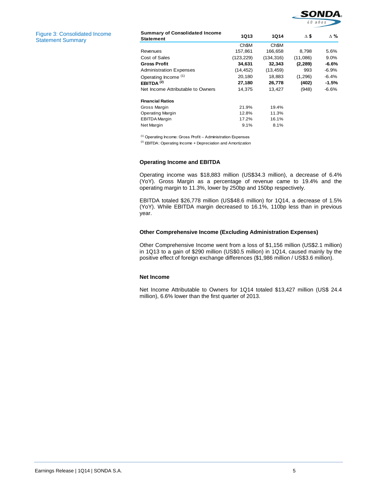

Figure 3: Consolidated Income Statement Summary

| <b>Summary of Consolidated Income</b><br><b>Statement</b> | <b>1Q13</b> | 1Q14              | Δ\$      | Δ%      |
|-----------------------------------------------------------|-------------|-------------------|----------|---------|
|                                                           | Ch\$M       | Ch <sub>\$M</sub> |          |         |
| Revenues                                                  | 157,861     | 166,658           | 8,798    | 5.6%    |
| Cost of Sales                                             | (123, 229)  | (134, 316)        | (11,086) | 9.0%    |
| <b>Gross Profit</b>                                       | 34,631      | 32,343            | (2, 289) | -6.6%   |
| <b>Administration Expenses</b>                            | (14, 452)   | (13, 459)         | 993      | $-6.9%$ |
| Operating Income (1)                                      | 20,180      | 18,883            | (1,296)  | $-6.4%$ |
| EBITDA $(2)$                                              | 27,180      | 26,778            | (402)    | $-1.5%$ |
| Net Income Attributable to Owners                         | 14,375      | 13,427            | (948)    | $-6.6%$ |
| <b>Financial Ratios</b>                                   |             |                   |          |         |
| Gross Margin                                              | 21.9%       | 19.4%             |          |         |
| Operating Margin                                          | 12.8%       | 11.3%             |          |         |
| <b>EBITDA Margin</b>                                      | 17.2%       | 16.1%             |          |         |
| Net Margin                                                | 9.1%        | 8.1%              |          |         |

(1) Operating Income: Gross Profit – Administration Expenses

(2) EBITDA: Operating Income + Depreciation and Amortization

## **Operating Income and EBITDA**

Operating income was \$18,883 million (US\$34.3 million), a decrease of 6.4% (YoY). Gross Margin as a percentage of revenue came to 19.4% and the operating margin to 11.3%, lower by 250bp and 150bp respectively.

EBITDA totaled \$26,778 million (US\$48.6 million) for 1Q14, a decrease of 1.5% (YoY). While EBITDA margin decreased to 16.1%, 110bp less than in previous year.

#### **Other Comprehensive Income (Excluding Administration Expenses)**

Other Comprehensive Income went from a loss of \$1,156 million (US\$2.1 million) in 1Q13 to a gain of \$290 million (US\$0.5 million) in 1Q14, caused mainly by the positive effect of foreign exchange differences (\$1,986 million / US\$3.6 million).

#### **Net Income**

Net Income Attributable to Owners for 1Q14 totaled \$13,427 million (US\$ 24.4 million), 6.6% lower than the first quarter of 2013.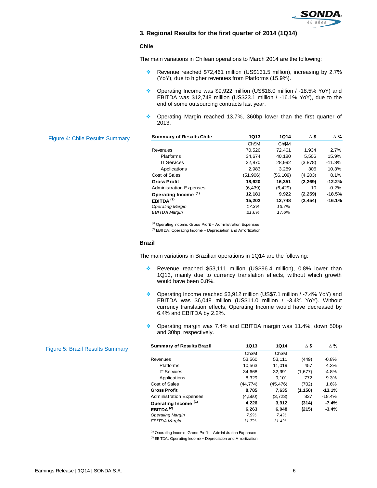

# **3. Regional Results for the first quarter of 2014 (1Q14)**

#### **Chile**

The main variations in Chilean operations to March 2014 are the following:

- \* Revenue reached \$72,461 million (US\$131.5 million), increasing by 2.7% (YoY), due to higher revenues from Platforms (15.9%).
- Operating Income was \$9,922 million (US\$18.0 million / -18.5% YoY) and EBITDA was \$12,748 million (US\$23.1 million / -16.1% YoY), due to the end of some outsourcing contracts last year.
- ◆ Operating Margin reached 13.7%, 360bp lower than the first quarter of 2013.

|                                | <b>1Q13</b>          | <b>1Q14</b>       | $\Delta$ \$ | $\Delta$ % |
|--------------------------------|----------------------|-------------------|-------------|------------|
|                                | Ch <sub>\$M</sub>    | Ch <sub>\$M</sub> |             |            |
| Revenues                       | 70,526               | 72,461            | 1,934       | 2.7%       |
| <b>Platforms</b>               | 34.674               | 40,180            | 5.506       | 15.9%      |
| <b>IT Services</b>             | 32,870               | 28,992            | (3,878)     | $-11.8%$   |
| Applications                   | 2.983                | 3.289             | 306         | 10.3%      |
| Cost of Sales                  | (51,906)             | (56, 109)         | (4,203)     | 8.1%       |
| <b>Gross Profit</b>            | 18.620               | 16.351            | (2, 269)    | $-12.2%$   |
| <b>Administration Expenses</b> | (6, 439)             | (6, 429)          | 10          | $-0.2%$    |
|                                | 12,181               | 9,922             | (2, 259)    | $-18.5%$   |
| EBITDA $(2)$                   | 15,202               | 12,748            | (2, 454)    | $-16.1%$   |
| <b>Operating Margin</b>        | 17.3%                | 13.7%             |             |            |
| <b>EBITDA Margin</b>           | 21.6%                | 17.6%             |             |            |
|                                | Operating Income (1) |                   |             |            |

(1) Operating Income: Gross Profit – Administration Expenses

 $(2)$  EBITDA: Operating Income + Depreciation and Amortization

#### **Brazil**

The main variations in Brazilian operations in 1Q14 are the following:

- \* Revenue reached \$53,111 million (US\$96.4 million), 0.8% lower than 1Q13, mainly due to currency translation effects, without which growth would have been 0.8%.
- Operating Income reached \$3,912 million (US\$7.1 million / -7.4% YoY) and EBITDA was \$6,048 million (US\$11.0 million / -3.4% YoY). Without currency translation effects, Operating Income would have decreased by 6.4% and EBITDA by 2.2%.
- ◆ Operating margin was 7.4% and EBITDA margin was 11.4%, down 50bp and 30bp, respectively.

| <b>Summary of Results Brazil</b> | <b>1Q13</b>       | <b>1Q14</b>       | $\Delta$ \$ | $\Delta \%$ |
|----------------------------------|-------------------|-------------------|-------------|-------------|
|                                  | Ch <sub>\$M</sub> | Ch <sub>\$M</sub> |             |             |
| Revenues                         | 53,560            | 53,111            | (449)       | $-0.8%$     |
| <b>Platforms</b>                 | 10,563            | 11,019            | 457         | 4.3%        |
| <b>IT Services</b>               | 34.668            | 32,991            | (1,677)     | $-4.8%$     |
| Applications                     | 8.329             | 9.101             | 772         | 9.3%        |
| Cost of Sales                    | (44, 774)         | (45, 476)         | (702)       | 1.6%        |
| <b>Gross Profit</b>              | 8,785             | 7,635             | (1, 150)    | $-13.1%$    |
| <b>Administration Expenses</b>   | (4,560)           | (3, 723)          | 837         | $-18.4%$    |
| Operating Income (1)             | 4.226             | 3.912             | (314)       | $-7.4%$     |
| EBITDA <sup>(2)</sup>            | 6.263             | 6,048             | (215)       | $-3.4%$     |
| <b>Operating Margin</b>          | 7.9%              | 7.4%              |             |             |
| <b>EBITDA Margin</b>             | 11.7%             | 11.4%             |             |             |

(1) Operating Income: Gross Profit – Administration Expenses

(2) EBITDA: Operating Income + Depreciation and Amortization

# Figure 4:

Figure 5: Brazil Results Summary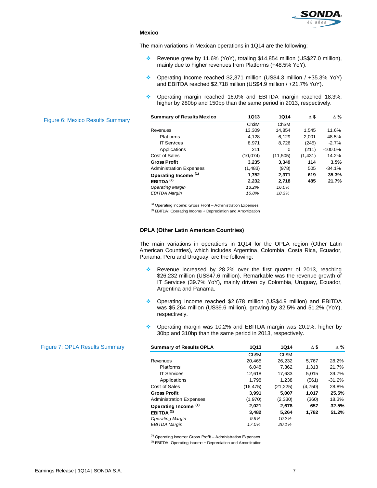

#### **Mexico**

The main variations in Mexican operations in 1Q14 are the following:

- Revenue grew by 11.6% (YoY), totaling \$14,854 million (US\$27.0 million), mainly due to higher revenues from Platforms (+48.5% YoY).
- Operating Income reached \$2,371 million (US\$4.3 million / +35.3% YoY) and EBITDA reached \$2,718 million (US\$4.9 million / +21.7% YoY).
- Operating margin reached 16.0% and EBITDA margin reached 18.3%, higher by 280bp and 150bp than the same period in 2013, respectively.

| <b>1Q13</b>       | 1Q14              | Δ\$      | $\Delta \%$ |
|-------------------|-------------------|----------|-------------|
| Ch <sub>\$M</sub> | Ch <sub>\$M</sub> |          |             |
| 13,309            | 14,854            | 1.545    | 11.6%       |
| 4.128             | 6.129             | 2.001    | 48.5%       |
| 8,971             | 8,726             | (245)    | $-2.7%$     |
| 211               | 0                 | (211)    | $-100.0%$   |
| (10, 074)         | (11, 505)         | (1, 431) | 14.2%       |
| 3.235             | 3.349             | 114      | 3.5%        |
| (1, 483)          | (978)             | 505      | $-34.1%$    |
| 1,752             | 2,371             | 619      | 35.3%       |
| 2,232             | 2,718             | 485      | 21.7%       |
| 13.2%             | 16.0%             |          |             |
| 16.8%             | 18.3%             |          |             |
|                   |                   |          |             |

(1) Operating Income: Gross Profit – Administration Expenses

(2) EBITDA: Operating Income + Depreciation and Amortization

#### **OPLA (Other Latin American Countries)**

The main variations in operations in 1Q14 for the OPLA region (Other Latin American Countries), which includes Argentina, Colombia, Costa Rica, Ecuador, Panama, Peru and Uruguay, are the following:

- Revenue increased by 28.2% over the first quarter of 2013, reaching \$26,232 million (US\$47.6 million). Remarkable was the revenue growth of IT Services (39.7% YoY), mainly driven by Colombia, Uruguay, Ecuador, Argentina and Panama.
- ◆ Operating Income reached \$2,678 million (US\$4.9 million) and EBITDA was \$5,264 million (US\$9.6 million), growing by 32.5% and 51.2% (YoY), respectively.
- ◆ Operating margin was 10.2% and EBITDA margin was 20.1%, higher by 30bp and 310bp than the same period in 2013, respectively.

| <b>Summary of Results OPLA</b> | <b>1Q13</b>       | <b>1Q14</b>       | Δ\$     | $\Delta \%$ |
|--------------------------------|-------------------|-------------------|---------|-------------|
|                                | Ch <sub>\$M</sub> | Ch <sub>\$M</sub> |         |             |
| Revenues                       | 20,465            | 26,232            | 5,767   | 28.2%       |
| <b>Platforms</b>               | 6,048             | 7,362             | 1,313   | 21.7%       |
| <b>IT Services</b>             | 12,618            | 17,633            | 5.015   | 39.7%       |
| Applications                   | 1,798             | 1.238             | (561)   | $-31.2%$    |
| Cost of Sales                  | (16, 475)         | (21, 225)         | (4,750) | 28.8%       |
| <b>Gross Profit</b>            | 3.991             | 5.007             | 1.017   | 25.5%       |
| <b>Administration Expenses</b> | (1,970)           | (2, 330)          | (360)   | 18.3%       |
| Operating Income (1)           | 2.021             | 2.678             | 657     | 32.5%       |
| EBITDA <sup>(2)</sup>          | 3.482             | 5.264             | 1.782   | 51.2%       |
| <b>Operating Margin</b>        | 9.9%              | 10.2%             |         |             |
| <b>EBITDA Margin</b>           | 17.0%             | 20.1%             |         |             |

(1) Operating Income: Gross Profit – Administration Expenses

(2) EBITDA: Operating Income + Depreciation and Amortization

#### Figure 6: Mexico Results Summary

Figure 7: OPLA Results Summary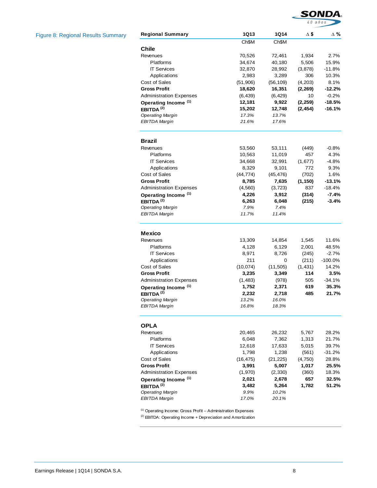

Figure 8: Regional Results Summary

| <b>Regional Summary</b>              | <b>1Q13</b>        | 1Q14               | Δ\$              | Δ%                |
|--------------------------------------|--------------------|--------------------|------------------|-------------------|
|                                      | Ch\$M              | Ch\$M              |                  |                   |
| Chile                                |                    |                    |                  |                   |
| Revenues<br>Platforms                | 70,526             | 72,461             | 1,934            | 2.7%              |
| <b>IT Services</b>                   | 34,674<br>32,870   | 40,180             | 5,506<br>(3,878) | 15.9%<br>$-11.8%$ |
|                                      | 2,983              | 28,992             | 306              | 10.3%             |
| Applications<br>Cost of Sales        | (51,906)           | 3,289<br>(56, 109) | (4,203)          | 8.1%              |
| <b>Gross Profit</b>                  | 18,620             | 16,351             | (2, 269)         | $-12.2%$          |
| <b>Administration Expenses</b>       | (6, 439)           | (6, 429)           | 10               | $-0.2%$           |
| Operating Income <sup>(1)</sup>      | 12,181             | 9,922              | (2, 259)         | $-18.5%$          |
| EBITDA <sup>(2)</sup>                | 15,202             | 12,748             | (2, 454)         | $-16.1%$          |
| <b>Operating Margin</b>              | 17.3%              | 13.7%              |                  |                   |
| EBITDA Margin                        | 21.6%              | 17.6%              |                  |                   |
| Brazil                               |                    |                    |                  |                   |
| Revenues                             | 53,560             | 53,111             | (449)            | $-0.8%$           |
| Platforms                            | 10,563             | 11,019             | 457              | 4.3%              |
| <b>IT Services</b>                   | 34,668             | 32,991             | (1,677)          | $-4.8%$           |
| Applications                         | 8,329              | 9,101              | 772              | 9.3%              |
| Cost of Sales                        | (44, 774)          | (45, 476)          | (702)            | 1.6%              |
| <b>Gross Profit</b>                  | 8,785              | 7,635              | (1, 150)         | $-13.1%$          |
| <b>Administration Expenses</b>       | (4,560)            | (3, 723)           | 837              | -18.4%            |
| Operating Income (1)                 | 4,226              | 3,912              | (314)            | $-7.4%$           |
| EBITDA $(2)$                         | 6,263              | 6,048              | (215)            | $-3.4%$           |
| <b>Operating Margin</b>              | 7.9%               | 7.4%               |                  |                   |
| EBITDA Margin                        | 11.7%              | 11.4%              |                  |                   |
| <b>Mexico</b>                        |                    |                    |                  |                   |
| Revenues                             | 13,309             | 14,854             | 1,545            | 11.6%             |
| Platforms                            | 4,128              | 6,129              | 2,001            | 48.5%             |
| <b>IT Services</b>                   | 8,971              | 8,726              | (245)            | $-2.7%$           |
| Applications                         | 211                | 0                  | (211)            | $-100.0%$         |
| Cost of Sales                        | (10, 074)          | (11, 505)          | (1, 431)         | 14.2%             |
| <b>Gross Profit</b>                  | 3,235              | 3,349              | 114              | 3.5%              |
| <b>Administration Expenses</b>       | (1,483)            | (978)              | 505              | $-34.1%$          |
| Operating Income <sup>(1)</sup>      | 1,752              | 2,371              | 619              | 35.3%             |
| EBITDA $(2)$                         | 2,232              | 2,718              | 485              | 21.7%             |
| <b>Operating Margin</b>              | 13.2%              | 16.0%              |                  |                   |
| <b>EBITDA Margin</b>                 | 16.8%              | 18.3%              |                  |                   |
| <b>OPLA</b>                          |                    |                    |                  |                   |
| Revenues                             | 20,465             | 26,232             | 5,767            | 28.2%             |
| Platforms                            | 6,048              | 7,362              | 1,313            | 21.7%             |
| <b>IT Services</b>                   | 12,618             | 17,633             | 5,015            | 39.7%             |
| Applications                         | 1,798              | 1,238              | (561)            | $-31.2%$          |
| Cost of Sales<br><b>Gross Profit</b> | (16, 475)<br>3,991 | (21, 225)<br>5,007 | (4,750)<br>1,017 | 28.8%<br>25.5%    |
| <b>Administration Expenses</b>       | (1,970)            | (2, 330)           | (360)            | 18.3%             |
| Operating Income <sup>(1)</sup>      | 2,021              | 2,678              | 657              | 32.5%             |
| EBITDA $(2)$                         | 3,482              | 5,264              | 1,782            | 51.2%             |
| <b>Operating Margin</b>              | 9.9%               | 10.2%              |                  |                   |
| <b>EBITDA Margin</b>                 | 17.0%              | 20.1%              |                  |                   |
|                                      |                    |                    |                  |                   |

 $(1)$  Operating Income: Gross Profit – Administration Expenses

(2) EBITDA: Operating Income + Depreciation and Amortization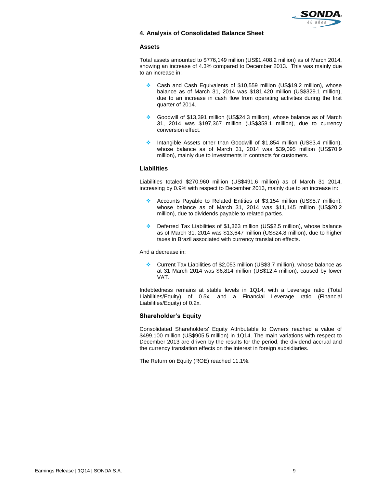

# **4. Analysis of Consolidated Balance Sheet**

#### **Assets**

Total assets amounted to \$776,149 million (US\$1,408.2 million) as of March 2014, showing an increase of 4.3% compared to December 2013. This was mainly due to an increase in:

- Cash and Cash Equivalents of \$10,559 million (US\$19.2 million), whose balance as of March 31, 2014 was \$181,420 million (US\$329.1 million), due to an increase in cash flow from operating activities during the first quarter of 2014.
- Goodwill of \$13,391 million (US\$24.3 million), whose balance as of March 31, 2014 was \$197,367 million (US\$358.1 million), due to currency conversion effect.
- \* Intangible Assets other than Goodwill of \$1,854 million (US\$3.4 million), whose balance as of March 31, 2014 was \$39,095 million (US\$70.9 million), mainly due to investments in contracts for customers.

## **Liabilities**

Liabilities totaled \$270,960 million (US\$491.6 million) as of March 31 2014, increasing by 0.9% with respect to December 2013, mainly due to an increase in:

- Accounts Payable to Related Entities of \$3,154 million (US\$5.7 million), whose balance as of March 31, 2014 was \$11,145 million (US\$20.2 million), due to dividends payable to related parties.
- Deferred Tax Liabilities of \$1,363 million (US\$2.5 million), whose balance as of March 31, 2014 was \$13,647 million (US\$24.8 million), due to higher taxes in Brazil associated with currency translation effects.

And a decrease in:

 Current Tax Liabilities of \$2,053 million (US\$3.7 million), whose balance as at 31 March 2014 was \$6,814 million (US\$12.4 million), caused by lower VAT.

Indebtedness remains at stable levels in 1Q14, with a Leverage ratio (Total Liabilities/Equity) of 0.5x, and a Financial Leverage ratio (Financial Liabilities/Equity) of 0.2x.

## **Shareholder's Equity**

Consolidated Shareholders' Equity Attributable to Owners reached a value of \$499,100 million (US\$905.5 million) in 1Q14. The main variations with respect to December 2013 are driven by the results for the period, the dividend accrual and the currency translation effects on the interest in foreign subsidiaries.

The Return on Equity (ROE) reached 11.1%.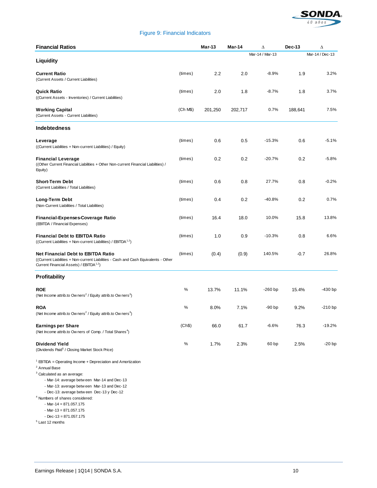

# Figure 9: Financial Indicators

| <b>Financial Ratios</b>                                                                                                                                                                                                                                                                                                                                                                                                                            |          | Mar-13  | Mar-14  | Δ               | $Dec-13$ | Δ               |
|----------------------------------------------------------------------------------------------------------------------------------------------------------------------------------------------------------------------------------------------------------------------------------------------------------------------------------------------------------------------------------------------------------------------------------------------------|----------|---------|---------|-----------------|----------|-----------------|
| Liquidity                                                                                                                                                                                                                                                                                                                                                                                                                                          |          |         |         | Mar-14 / Mar-13 |          | Mar-14 / Dec-13 |
| <b>Current Ratio</b><br>(Current Assets / Current Liabilities)                                                                                                                                                                                                                                                                                                                                                                                     | (times)  | 2.2     | 2.0     | $-8.9%$         | 1.9      | 3.2%            |
| <b>Quick Ratio</b><br>((Current Assets - Inventories) / Current Liabilities)                                                                                                                                                                                                                                                                                                                                                                       | (times)  | 2.0     | 1.8     | $-8.7%$         | 1.8      | 3.7%            |
| <b>Working Capital</b><br>(Current Assets - Current Liabilities)                                                                                                                                                                                                                                                                                                                                                                                   | (Ch M\$) | 201,250 | 202,717 | 0.7%            | 188,641  | 7.5%            |
| <b>Indebtedness</b>                                                                                                                                                                                                                                                                                                                                                                                                                                |          |         |         |                 |          |                 |
| Leverage<br>((Current Liabilities + Non-current Liabilities) / Equity)                                                                                                                                                                                                                                                                                                                                                                             | (times)  | 0.6     | 0.5     | $-15.3%$        | 0.6      | $-5.1%$         |
| <b>Financial Leverage</b><br>((Other Current Financial Liabilities + Other Non-current Financial Liabilities) /<br>Equity)                                                                                                                                                                                                                                                                                                                         | (times)  | 0.2     | 0.2     | $-20.7%$        | 0.2      | $-5.8%$         |
| <b>Short-Term Debt</b><br>(Current Liabilities / Total Liabilities)                                                                                                                                                                                                                                                                                                                                                                                | (times)  | 0.6     | 0.8     | 27.7%           | 0.8      | $-0.2%$         |
| Long-Term Debt<br>(Non-Current Liabilities / Total Liabilities)                                                                                                                                                                                                                                                                                                                                                                                    | (times)  | 0.4     | 0.2     | $-40.8%$        | 0.2      | 0.7%            |
| Financial-Expenses-Coverage Ratio<br>(EBITDA / Financial Expenses)                                                                                                                                                                                                                                                                                                                                                                                 | (times)  | 16.4    | 18.0    | 10.0%           | 15.8     | 13.8%           |
| <b>Financial Debt to EBITDA Ratio</b><br>((Current Liabilities + Non-current Liabilities) / EBITDA <sup>1,2</sup> )                                                                                                                                                                                                                                                                                                                                | (times)  | 1.0     | 0.9     | $-10.3%$        | 0.8      | 6.6%            |
| <b>Net Financial Debt to EBITDA Ratio</b><br>((Current Liabilities + Non-current Liabilities - Cash and Cash Equivalents - Other<br>Current Financial Assets) / EBITDA <sup>1,2</sup> )                                                                                                                                                                                                                                                            | (times)  | (0.4)   | (0.9)   | 140.5%          | $-0.7$   | 26.8%           |
| <b>Profitability</b>                                                                                                                                                                                                                                                                                                                                                                                                                               |          |         |         |                 |          |                 |
| <b>ROE</b><br>(Net Income attrib.to Ow ners <sup>2</sup> / Equity attrib.to Ow ners <sup>3</sup> )                                                                                                                                                                                                                                                                                                                                                 | %        | 13.7%   | 11.1%   | $-260$ bp       | 15.4%    | $-430$ bp       |
| <b>ROA</b><br>(Net Income attrib.to Ow ners <sup>2</sup> / Equity attrib.to Ow ners <sup>3</sup> )                                                                                                                                                                                                                                                                                                                                                 | %        | 8.0%    | 7.1%    | -90 bp          | 9.2%     | $-210bp$        |
| <b>Earnings per Share</b><br>(Net Income attrib.to Owners of Comp. / Total Shares <sup>4</sup> )                                                                                                                                                                                                                                                                                                                                                   | (Ch\$)   | 66.0    | 61.7    | $-6.6%$         | 76.3     | $-19.2%$        |
| Dividend Yield<br>(Dividends Paid <sup>5</sup> / Closing Market Stock Price)                                                                                                                                                                                                                                                                                                                                                                       | %        | 1.7%    | 2.3%    | 60 bp           | 2.5%     | $-20bp$         |
| <sup>1</sup> EBTIDA = Operating Income + Depreciation and Amortization<br>$2$ Annual Base<br><sup>3</sup> Calculated as an average:<br>- Mar-14: average between Mar-14 and Dec-13<br>- Mar-13: average between Mar-13 and Dec-12<br>- Dec-13: average between Dec-13 y Dec-12<br><sup>4</sup> Numbers of shares considered:<br>- Mar-14 = $871.057.175$<br>- Mar-13 = $871.057.175$<br>$-$ Dec $-13 = 871.057.175$<br><sup>5</sup> Last 12 months |          |         |         |                 |          |                 |